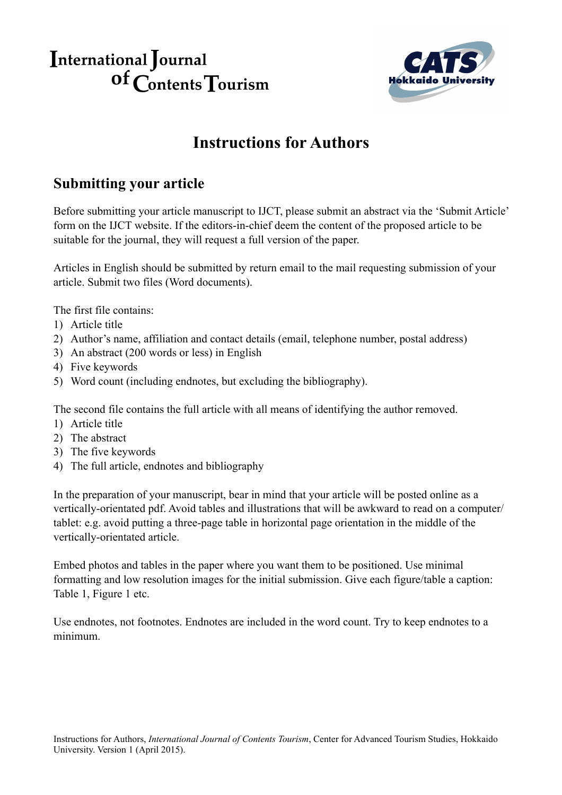# International Journal  $of$  Contents Tourism



## **Instructions for Authors**

### **Submitting your article**

Before submitting your article manuscript to IJCT, please submit an abstract via the 'Submit Article' form on the IJCT website. If the editors-in-chief deem the content of the proposed article to be suitable for the journal, they will request a full version of the paper.

Articles in English should be submitted by return email to the mail requesting submission of your article. Submit two files (Word documents).

The first file contains:

- 1) Article title
- 2) Author's name, affiliation and contact details (email, telephone number, postal address)
- 3) An abstract (200 words or less) in English
- 4) Five keywords
- 5) Word count (including endnotes, but excluding the bibliography).

The second file contains the full article with all means of identifying the author removed.

- 1) Article title
- 2) The abstract
- 3) The five keywords
- 4) The full article, endnotes and bibliography

In the preparation of your manuscript, bear in mind that your article will be posted online as a vertically-orientated pdf. Avoid tables and illustrations that will be awkward to read on a computer/ tablet: e.g. avoid putting a three-page table in horizontal page orientation in the middle of the vertically-orientated article.

Embed photos and tables in the paper where you want them to be positioned. Use minimal formatting and low resolution images for the initial submission. Give each figure/table a caption: Table 1, Figure 1 etc.

Use endnotes, not footnotes. Endnotes are included in the word count. Try to keep endnotes to a minimum.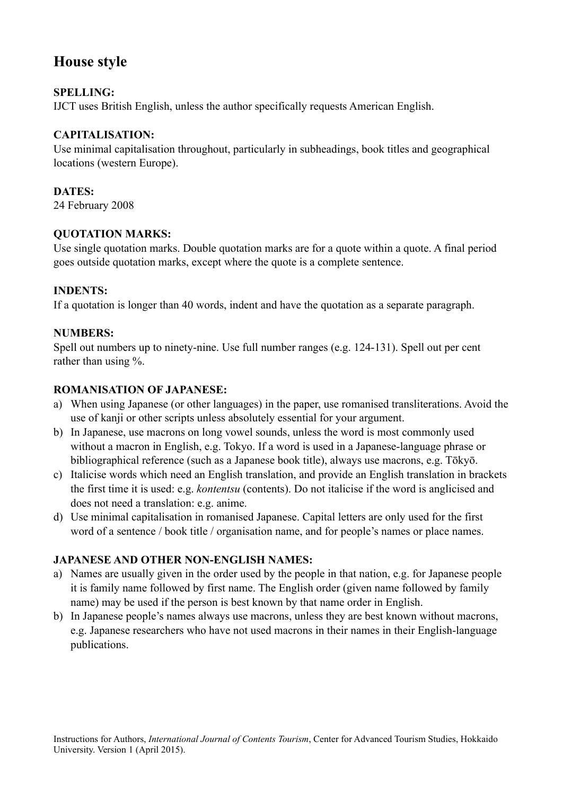### **House style**

### **SPELLING:**

IJCT uses British English, unless the author specifically requests American English.

### **CAPITALISATION:**

Use minimal capitalisation throughout, particularly in subheadings, book titles and geographical locations (western Europe).

### **DATES:**

24 February 2008

### **QUOTATION MARKS:**

Use single quotation marks. Double quotation marks are for a quote within a quote. A final period goes outside quotation marks, except where the quote is a complete sentence.

### **INDENTS:**

If a quotation is longer than 40 words, indent and have the quotation as a separate paragraph.

### **NUMBERS:**

Spell out numbers up to ninety-nine. Use full number ranges (e.g. 124-131). Spell out per cent rather than using %.

### **ROMANISATION OF JAPANESE:**

- a) When using Japanese (or other languages) in the paper, use romanised transliterations. Avoid the use of kanji or other scripts unless absolutely essential for your argument.
- b) In Japanese, use macrons on long vowel sounds, unless the word is most commonly used without a macron in English, e.g. Tokyo. If a word is used in a Japanese-language phrase or bibliographical reference (such as a Japanese book title), always use macrons, e.g. Tōkyō.
- c) Italicise words which need an English translation, and provide an English translation in brackets the first time it is used: e.g. *kontentsu* (contents). Do not italicise if the word is anglicised and does not need a translation: e.g. anime.
- d) Use minimal capitalisation in romanised Japanese. Capital letters are only used for the first word of a sentence / book title / organisation name, and for people's names or place names.

### **JAPANESE AND OTHER NON-ENGLISH NAMES:**

- a) Names are usually given in the order used by the people in that nation, e.g. for Japanese people it is family name followed by first name. The English order (given name followed by family name) may be used if the person is best known by that name order in English.
- b) In Japanese people's names always use macrons, unless they are best known without macrons, e.g. Japanese researchers who have not used macrons in their names in their English-language publications.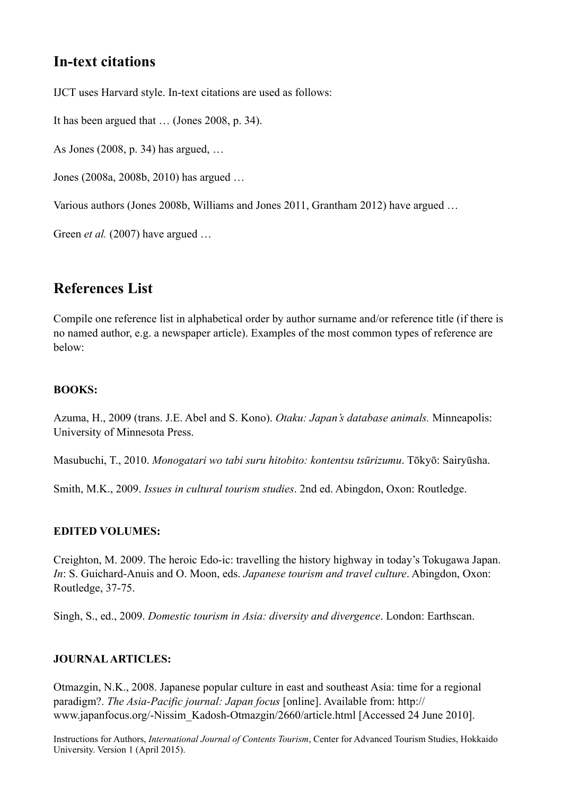### **In-text citations**

IJCT uses Harvard style. In-text citations are used as follows:

It has been argued that … (Jones 2008, p. 34).

As Jones (2008, p. 34) has argued, …

Jones (2008a, 2008b, 2010) has argued …

Various authors (Jones 2008b, Williams and Jones 2011, Grantham 2012) have argued …

Green *et al.* (2007) have argued ...

### **References List**

Compile one reference list in alphabetical order by author surname and/or reference title (if there is no named author, e.g. a newspaper article). Examples of the most common types of reference are below:

### **BOOKS:**

Azuma, H., 2009 (trans. J.E. Abel and S. Kono). *Otaku: Japan's database animals.* Minneapolis: University of Minnesota Press.

Masubuchi, T., 2010. *Monogatari wo tabi suru hitobito: kontentsu tsūrizumu*. Tōkyō: Sairyūsha.

Smith, M.K., 2009. *Issues in cultural tourism studies*. 2nd ed. Abingdon, Oxon: Routledge.

### **EDITED VOLUMES:**

Creighton, M. 2009. The heroic Edo-ic: travelling the history highway in today's Tokugawa Japan. *In*: S. Guichard-Anuis and O. Moon, eds. *Japanese tourism and travel culture*. Abingdon, Oxon: Routledge, 37-75.

Singh, S., ed., 2009. *Domestic tourism in Asia: diversity and divergence*. London: Earthscan.

### **JOURNAL ARTICLES:**

Otmazgin, N.K., 2008. Japanese popular culture in east and southeast Asia: time for a regional paradigm?. *The Asia-Pacific journal: Japan focus* [online]. Available from: http:// www.japanfocus.org/-Nissim\_Kadosh-Otmazgin/2660/article.html [Accessed 24 June 2010].

Instructions for Authors, *International Journal of Contents Tourism*, Center for Advanced Tourism Studies, Hokkaido University. Version 1 (April 2015).